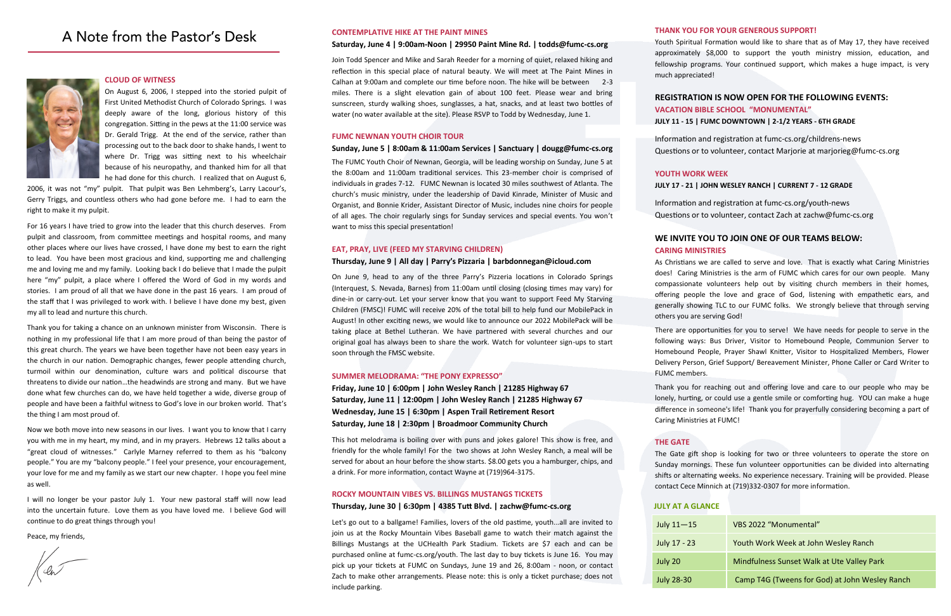## A Note from the Pastor's Desk



### **CLOUD OF WITNESS**

On August 6, 2006, I stepped into the storied pulpit of First United Methodist Church of Colorado Springs. I was deeply aware of the long, glorious history of this congregation. Sitting in the pews at the 11:00 service was Dr. Gerald Trigg. At the end of the service, rather than processing out to the back door to shake hands, I went to where Dr. Trigg was sitting next to his wheelchair because of his neuropathy, and thanked him for all that he had done for this church. I realized that on August 6,

2006, it was not "my" pulpit. That pulpit was Ben Lehmberg's, Larry Lacour's, Gerry Triggs, and countless others who had gone before me. I had to earn the right to make it my pulpit.

For 16 years I have tried to grow into the leader that this church deserves. From pulpit and classroom, from committee meetings and hospital rooms, and many other places where our lives have crossed, I have done my best to earn the right to lead. You have been most gracious and kind, supporting me and challenging me and loving me and my family. Looking back I do believe that I made the pulpit here "my" pulpit, a place where I offered the Word of God in my words and stories. I am proud of all that we have done in the past 16 years. I am proud of the staff that I was privileged to work with. I believe I have done my best, given my all to lead and nurture this church.

Thank you for taking a chance on an unknown minister from Wisconsin. There is nothing in my professional life that I am more proud of than being the pastor of this great church. The years we have been together have not been easy years in the church in our nation. Demographic changes, fewer people attending church, turmoil within our denomination, culture wars and political discourse that threatens to divide our nation…the headwinds are strong and many. But we have done what few churches can do, we have held together a wide, diverse group of people and have been a faithful witness to God's love in our broken world. That's the thing I am most proud of.

Now we both move into new seasons in our lives. I want you to know that I carry you with me in my heart, my mind, and in my prayers. Hebrews 12 talks about a "great cloud of witnesses." Carlyle Marney referred to them as his "balcony people." You are my "balcony people." I feel your presence, your encouragement, your love for me and my family as we start our new chapter. I hope you feel mine as well.

I will no longer be your pastor July 1. Your new pastoral staff will now lead into the uncertain future. Love them as you have loved me. I believe God will continue to do great things through you!

Peace, my friends,

| July $11 - 15$    | VBS 2022 "Monumental"                          |
|-------------------|------------------------------------------------|
| July 17 - 23      | Youth Work Week at John Wesley Ranch           |
| July 20           | Mindfulness Sunset Walk at Ute Valley Park     |
| <b>July 28-30</b> | Camp T4G (Tweens for God) at John Wesley Ranch |

### **JULY AT A GLANCE**

### **THANK YOU FOR YOUR GENEROUS SUPPORT!**

Youth Spiritual Formation would like to share that as of May 17, they have received approximately \$8,000 to support the youth ministry mission, education, and fellowship programs. Your continued support, which makes a huge impact, is very much appreciated!

### **REGISTRATION IS NOW OPEN FOR THE FOLLOWING EVENTS: VACATION BIBLE SCHOOL "MONUMENTAL"**

### **JULY 11 - 15 | FUMC DOWNTOWN | 2-1/2 YEARS - 6TH GRADE**

Information and registration at fumc-cs.org/childrens-news Questions or to volunteer, contact Marjorie at marjorieg@fumc-cs.org

### **YOUTH WORK WEEK**

### **JULY 17 - 21 | JOHN WESLEY RANCH | CURRENT 7 - 12 GRADE**

Information and registration at fumc-cs.org/youth-news Questions or to volunteer, contact Zach at zachw@fumc-cs.org

### **WE INVITE YOU TO JOIN ONE OF OUR TEAMS BELOW:**

## **CARING MINISTRIES**

As Christians we are called to serve and love. That is exactly what Caring Ministries does! Caring Ministries is the arm of FUMC which cares for our own people. Many compassionate volunteers help out by visiting church members in their homes, offering people the love and grace of God, listening with empathetic ears, and generally showing TLC to our FUMC folks. We strongly believe that through serving others you are serving God!

There are opportunities for you to serve! We have needs for people to serve in the following ways: Bus Driver, Visitor to Homebound People, Communion Server to Homebound People, Prayer Shawl Knitter, Visitor to Hospitalized Members, Flower Delivery Person, Grief Support/ Bereavement Minister, Phone Caller or Card Writer to FUMC members.

Thank you for reaching out and offering love and care to our people who may be lonely, hurting, or could use a gentle smile or comforting hug. YOU can make a huge difference in someone's life! Thank you for prayerfully considering becoming a part of Caring Ministries at FUMC!

### **THE GATE**

The Gate gift shop is looking for two or three volunteers to operate the store on Sunday mornings. These fun volunteer opportunities can be divided into alternating shifts or alternating weeks. No experience necessary. Training will be provided. Please contact Cece Minnich at (719)332-0307 for more information.

### **CONTEMPLATIVE HIKE AT THE PAINT MINES**

### **Saturday, June 4 | 9:00am-Noon | 29950 Paint Mine Rd. | todds@fumc-cs.org**

Join Todd Spencer and Mike and Sarah Reeder for a morning of quiet, relaxed hiking and reflection in this special place of natural beauty. We will meet at The Paint Mines in Calhan at 9:00am and complete our time before noon. The hike will be between 2-3 miles. There is a slight elevation gain of about 100 feet. Please wear and bring sunscreen, sturdy walking shoes, sunglasses, a hat, snacks, and at least two bottles of water (no water available at the site). Please RSVP to Todd by Wednesday, June 1.

### **FUMC NEWNAN YOUTH CHOIR TOUR**

### **Sunday, June 5 | 8:00am & 11:00am Services | Sanctuary | dougg@fumc-cs.org**

The FUMC Youth Choir of Newnan, Georgia, will be leading worship on Sunday, June 5 at the 8:00am and 11:00am traditional services. This 23-member choir is comprised of individuals in grades 7-12. FUMC Newnan is located 30 miles southwest of Atlanta. The church's music ministry, under the leadership of David Kinrade, Minister of Music and Organist, and Bonnie Krider, Assistant Director of Music, includes nine choirs for people of all ages. The choir regularly sings for Sunday services and special events. You won't want to miss this special presentation!

### **EAT, PRAY, LIVE (FEED MY STARVING CHILDREN)**

### **Thursday, June 9 | All day | Parry's Pizzaria | barbdonnegan@icloud.com**

On June 9, head to any of the three Parry's Pizzeria locations in Colorado Springs (Interquest, S. Nevada, Barnes) from 11:00am until closing (closing times may vary) for dine-in or carry-out. Let your server know that you want to support Feed My Starving Children (FMSC)! FUMC will receive 20% of the total bill to help fund our MobilePack in August! In other exciting news, we would like to announce our 2022 MobilePack will be taking place at Bethel Lutheran. We have partnered with several churches and our original goal has always been to share the work. Watch for volunteer sign-ups to start soon through the FMSC website.

### **SUMMER MELODRAMA: "THE PONY EXPRESSO"**

**Friday, June 10 | 6:00pm | John Wesley Ranch | 21285 Highway 67 Saturday, June 11 | 12:00pm | John Wesley Ranch | 21285 Highway 67 Wednesday, June 15 | 6:30pm | Aspen Trail Retirement Resort Saturday, June 18 | 2:30pm | Broadmoor Community Church**

This hot melodrama is boiling over with puns and jokes galore! This show is free, and friendly for the whole family! For the two shows at John Wesley Ranch, a meal will be served for about an hour before the show starts. \$8.00 gets you a hamburger, chips, and a drink. For more information, contact Wayne at (719)964-3175.

### **ROCKY MOUNTAIN VIBES VS. BILLINGS MUSTANGS TICKETS**

### **Thursday, June 30 | 6:30pm | 4385 Tutt Blvd. | zachw@fumc-cs.org**

Let's go out to a ballgame! Families, lovers of the old pastime, youth...all are invited to join us at the Rocky Mountain Vibes Baseball game to watch their match against the Billings Mustangs at the UCHealth Park Stadium. Tickets are \$7 each and can be purchased online at fumc-cs.org/youth. The last day to buy tickets is June 16. You may pick up your tickets at FUMC on Sundays, June 19 and 26, 8:00am - noon, or contact Zach to make other arrangements. Please note: this is only a ticket purchase; does not include parking.